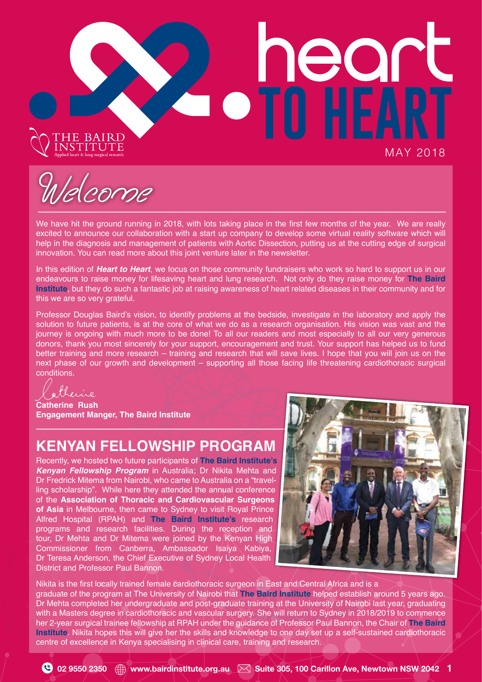# THE BAIRD<br>NSTITUTE

MAY 2018

**SPORT** 

Welcome

We have hit the ground running in 2018, with lots taking place in the first few months of the year. We are really excited to announce our collaboration with a start up company to develop some virtual reality software which will help in the diagnosis and management of patients with Aortic Dissection, putting us at the cutting edge of surgical innovation. You can read more about this joint venture later in the newsletter.

In this edition of *Heart to Heart*, we focus on those community fundraisers who work so hard to support us in our endeavours to raise money for lifesaving heart and lung research. Not only do they raise money for **The Baird Institute**, but they do such a fantastic job at raising awareness of heart related diseases in their community and for this we are so very grateful.

Professor Douglas Baird's vision, to identify problems at the bedside, investigate in the laboratory and apply the solution to future patients, is at the core of what we do as a research organisation. His vision was vast and the journey is ongoing with much more to be done! To all our readers and most especially to all our very generous donors, thank you most sincerely for your support, encouragement and trust. Your support has helped us to fund better training and more research – training and research that will save lives. I hope that you will join us on the next phase of our growth and development – supporting all those facing life threatening cardiothoracic surgical conditions.

otheric

**Catherine Rush Engagement Manger, The Baird Institute**

# **KENYAN FELLOWSHIP PROGRAM**

Recently, we hosted two future participants of **The Baird Institute's** *Kenyan Fellowship Program* in Australia; Dr Nikita Mehta and Dr Fredrick Mitema from Nairobi, who came to Australia on a "travelling scholarship". While here they attended the annual conference of the **Association of Thoracic and Cardiovascular Surgeons of Asia** in Melbourne, then came to Sydney to visit Royal Prince Alfred Hospital (RPAH) and **The Baird Institute's** research programs and research facilities. During the reception and tour, Dr Mehta and Dr Mitema were joined by the Kenyan High Commissioner from Canberra, Ambassador Isaiya Kabiya, Dr Teresa Anderson, the Chief Executive of Sydney Local Health District and Professor Paul Bannon.



Nikita is the frst locally trained female cardiothoracic surgeon in East and Central Africa and is a graduate of the program at The University of Nairobi that **The Baird Institute** helped establish around 5 years ago. Dr Mehta completed her undergraduate and post-graduate training at the University of Nairobi last year, graduating with a Masters degree in cardiothoracic and vascular surgery. She will return to Sydney in 2018/2019 to commence her 2-year surgical trainee fellowship at RPAH under the guidance of Professor Paul Bannon, the Chair of **The Baird Institute**. Nikita hopes this will give her the skills and knowledge to one day set up a self-sustained cardiothoracic centre of excellence in Kenya specialising in clinical care, training and research.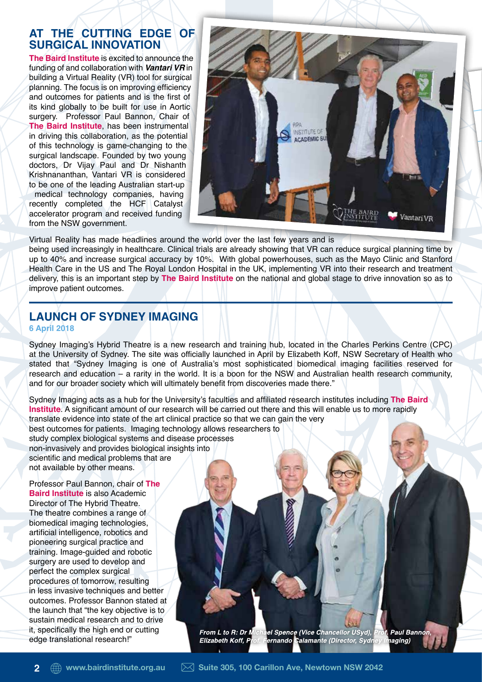## **AT THE CUTTING EDGE OF SURGICAL INNOVATION**

**The Baird Institute** is excited to announce the funding of and collaboration with *Vantari VR* in building a Virtual Reality (VR) tool for surgical planning. The focus is on improving efficiency and outcomes for patients and is the first of its kind globally to be built for use in Aortic surgery. Professor Paul Bannon, Chair of **The Baird Institute**, has been instrumental in driving this collaboration, as the potential of this technology is game-changing to the surgical landscape. Founded by two young doctors, Dr Vijay Paul and Dr Nishanth Krishnananthan, Vantari VR is considered to be one of the leading Australian start-up medical technology companies, having recently completed the HCF Catalyst accelerator program and received funding from the NSW government.



Virtual Reality has made headlines around the world over the last few years and is being used increasingly in healthcare. Clinical trials are already showing that VR can reduce surgical planning time by up to 40% and increase surgical accuracy by 10%. With global powerhouses, such as the Mayo Clinic and Stanford Health Care in the US and The Royal London Hospital in the UK, implementing VR into their research and treatment delivery, this is an important step by **The Baird Institute** on the national and global stage to drive innovation so as to improve patient outcomes.

### **LAUNCH OF SYDNEY IMAGING 6 April 2018**

Sydney Imaging's Hybrid Theatre is a new research and training hub, located in the Charles Perkins Centre (CPC) at the University of Sydney. The site was officially launched in April by Elizabeth Koff, NSW Secretary of Health who stated that "Sydney Imaging is one of Australia's most sophisticated biomedical imaging facilities reserved for research and education – a rarity in the world. It is a boon for the NSW and Australian health research community, and for our broader society which will ultimately beneft from discoveries made there."

Sydney Imaging acts as a hub for the University's faculties and affliated research institutes including **The Baird Institute**. A significant amount of our research will be carried out there and this will enable us to more rapidly translate evidence into state of the art clinical practice so that we can gain the very best outcomes for patients. Imaging technology allows researchers to study complex biological systems and disease processes non-invasively and provides biological insights into scientific and medical problems that are not available by other means.

Professor Paul Bannon, chair of **The Baird Institute** is also Academic Director of The Hybrid Theatre. The theatre combines a range of biomedical imaging technologies, artificial intelligence, robotics and pioneering surgical practice and training. Image-guided and robotic surgery are used to develop and perfect the complex surgical procedures of tomorrow, resulting in less invasive techniques and better outcomes. Professor Bannon stated at the launch that "the key objective is to sustain medical research and to drive it, specifcally the high end or cutting edge translational research!"

From L to R: Dr Michael Spence (Vice Chancellor USyd), **Paul Bannon** ernando Calamante (Director, Sydney Imaging) Elizabeth Koff, P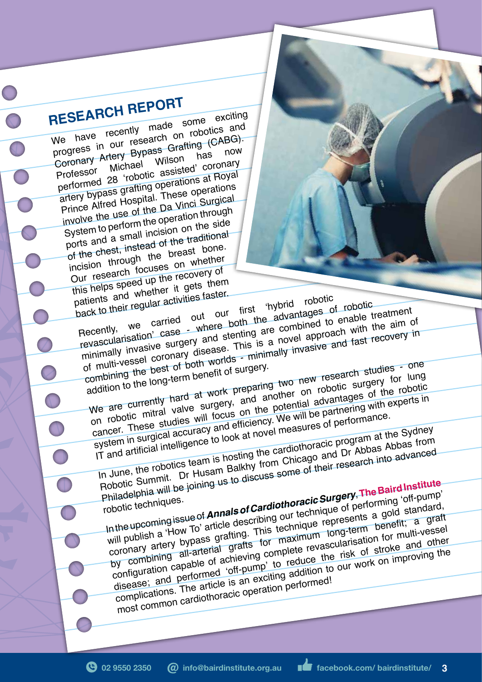**RESEARCH REPORT**<br>We have recently made some RESEARCH made some exciting<br>We have recently made some exciting<br>Ne have research on robotics and We have recently made some and<br>progress in our research on robotics and<br>progress in our Bypass Grafting (CABG). Coronary Artery Bypass Grafting (CABG).<br>
Professor Michael Wilson has now<br>
Professor of contact assisted' coronary progress in Hypass Gram has now<br>Coronary Artery Bypass Wilson has now<br>Professor Michael Milson coronary Professor Michael Wilson coronary<br>Professor Michael assisted' coronary<br>performed 28 'robotic assisted' coronations artery bypass grafting operations at Royal Prince Alfred Hospital. These operations involve the use of the Da Vinci Surgical System to perform the operation through ports and a small incision on the side of the chest, instead of the traditional incision through the breast bone. Our research focuses on whether this helps speed up the recovery of<br>patients and whether it gets them<br>back to their regular activities faster.<br>Recently we carried out our first 'hybrid robotic patients and whether it gets them back to their regular activities faster.

atients and who ack to their regular activities raster.<br>
Recently, we carried out our first 'hybrid robotic to enable the<br>
revascularisation' case where both the advantages of robotic<br>
revascularisation' case where both th Recently, we carried out where both the advantages of ropoluc<br>revascularisation' case - where both the are combined to enable treatment<br>revascularisation' case - where both are combined to enable treatment<br>minimally invasi of multi-vessel coronary disease. This is a novel approach with the aim of of multi-vessel coronary combining the best of both worlds - minimally invasive and fast recovery in-<br>combining the best of both worlds - minimally invasive and fast recovery in-

of multi-vessor best of both worlds<br>combining the long-term benefit of surgery.<br>addition to the long-term benefit of surgery.<br>We are currently hard at work preparing two new research studies - one<br>we are currently hard at on robotic mitral valve surgery, and another on robotic surgery for lung<br>on robotic mitral valve surgery, and another on robotic surgery for lung cancer. These studies will focus on the potential advantages of the robotic cancer.

system in surgical accuracy and efficiency. We will be partnering with experts in

IT and artificial intelligence to look at novel measures of performance. In June, the robotics team is hosting the cardiothoracic program at the Sydney Robotic Summit. Dr Husam Balkhy from Chicago and Dr Abbas Abbas from Philadelphia will be joining us to discuss some of their research into advanced-<br>Philadelphia will be joining us to discuss some of their research into advanced-<br>robotic techniques.

robotic techniques. obotic Summan be joining us to allow<br>
obotic techniques.<br>
In the upcoming issue of **Annals of Cardiothoracic Surgery, The Baird Institute**<br>
In the upcoming issue of **Annals of Cardiothoracic Surgery, The Baird Institute**<br> will publish a 'How To' article describing our technique of performing 'off-pump' will publish a how to arrive assembly on resultive of performing on parties and standard, by combining all-arterial grafts for maximum long-term benefit; a graft configuration capable of achieving complete revascularisation for multi-vessel disease; and performed 'off-pump' to reduce the risk of stroke and other<br>disease; and performed 'off-pump' to reduce the risk of stroke and other complications. The article is an exciting addition to our work on improving the most common cardiothoracic operation performed!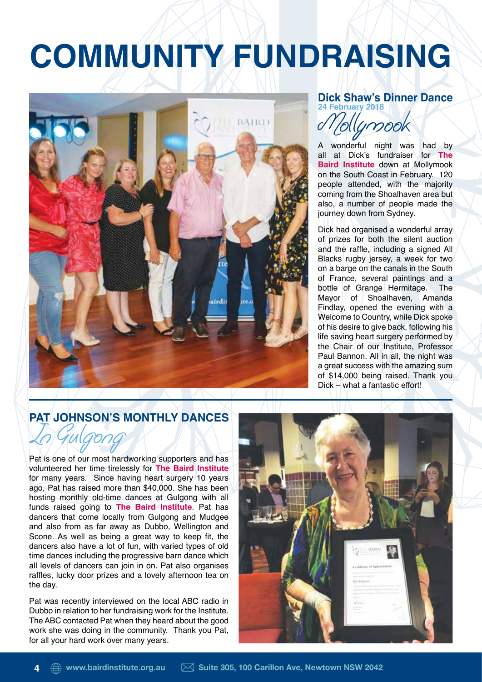# **COMMUNITY FUNDRAISING**



### **Dick Shaw's Dinner Dance 24 February 2018**

Mollymook

wonderful night was had by all at Dick's fundraiser for **The Baird Institute** down at Mollymook on the South Coast in February. 120 people attended, with the majority coming from the Shoalhaven area but also, a number of people made the journey down from Sydney.

Dick had organised a wonderful array of prizes for both the silent auction and the raffe, including a signed All Blacks rugby jersey, a week for two on a barge on the canals in the South of France, several paintings and a bottle of Grange Hermitage. The Mayor of Shoalhaven, Amanda Findlay, opened the evening with a Welcome to Country, while Dick spoke of his desire to give back, following his life saving heart surgery performed by the Chair of our Institute, Professor Paul Bannon. All in all, the night was a great success with the amazing sum of \$14,000 being raised. Thank you Dick – what a fantastic effort!

## **PAT JOHNSON'S MONTHLY DANCES**

Pat is one of our most hardworking supporters and has volunteered her time tirelessly for **The Baird Institute**  for many years. Since having heart surgery 10 years ago, Pat has raised more than \$40,000. She has been hosting monthly old-time dances at Gulgong with all In Gulgong

funds raised going to **The Baird Institute**. Pat has dancers that come locally from Gulgong and Mudgee and also from as far away as Dubbo, Wellington and Scone. As well as being a great way to keep fit, the dancers also have a lot of fun, with varied types of old time dances including the progressive barn dance which all levels of dancers can join in on. Pat also organises raffes, lucky door prizes and a lovely afternoon tea on the day.

Pat was recently interviewed on the local ABC radio in Dubbo in relation to her fundraising work for the Institute. The ABC contacted Pat when they heard about the good work she was doing in the community. Thank you Pat, for all your hard work over many years.

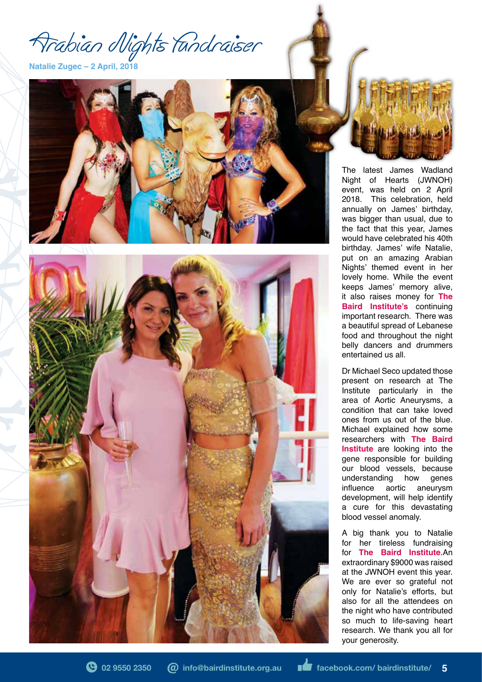Arabian Nights Fundraiser

**Natalie Zugec – 2 April, 2018**





The latest James Wadland Night of Hearts (JWNOH) event, was held on 2 April 2018. This celebration, held annually on James' birthday, was bigger than usual, due to the fact that this year, James would have celebrated his 40th birthday. James' wife Natalie, put on an amazing Arabian Nights' themed event in her lovely home. While the event keeps James' memory alive, it also raises money for **The Baird Institute's** continuing important research. There was a beautiful spread of Lebanese food and throughout the night belly dancers and drummers entertained us all.

Dr Michael Seco updated those present on research at The Institute particularly in the area of Aortic Aneurysms, a condition that can take loved ones from us out of the blue. Michael explained how some researchers with **The Baird Institute** are looking into the gene responsible for building our blood vessels, because<br>understanding how genes understanding how genes infuence aortic aneurysm development, will help identify a cure for this devastating blood vessel anomaly.

A big thank you to Natalie for her tireless fundraising for **The Baird Institute**.An extraordinary \$9000 was raised at the JWNOH event this year. We are ever so grateful not only for Natalie's efforts, but also for all the attendees on the night who have contributed so much to life-saving heart research. We thank you all for your generosity.

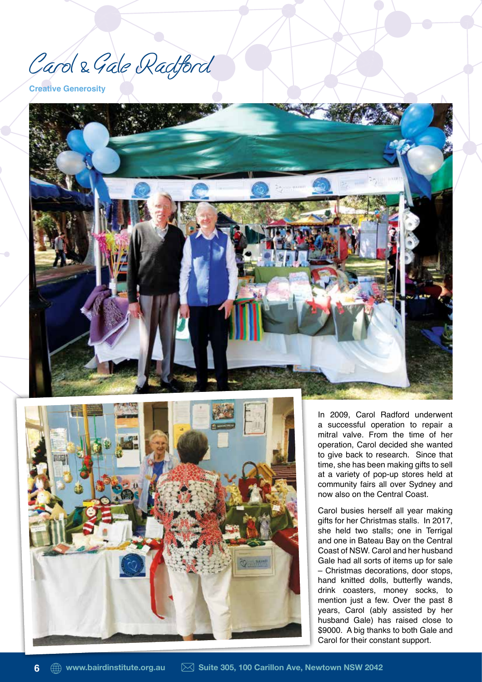Carol & Gale Radford

**Creative Generosity**





In 2009, Carol Radford underwent a successful operation to repair a mitral valve. From the time of her operation, Carol decided she wanted to give back to research. Since that time, she has been making gifts to sell at a variety of pop-up stores held at community fairs all over Sydney and now also on the Central Coast.

Carol busies herself all year making gifts for her Christmas stalls. In 2017, she held two stalls; one in Terrigal and one in Bateau Bay on the Central Coast of NSW. Carol and her husband Gale had all sorts of items up for sale – Christmas decorations, door stops, hand knitted dolls, butterfly wands, drink coasters, money socks, to mention just a few. Over the past 8 years, Carol (ably assisted by her husband Gale) has raised close to \$9000. A big thanks to both Gale and Carol for their constant support.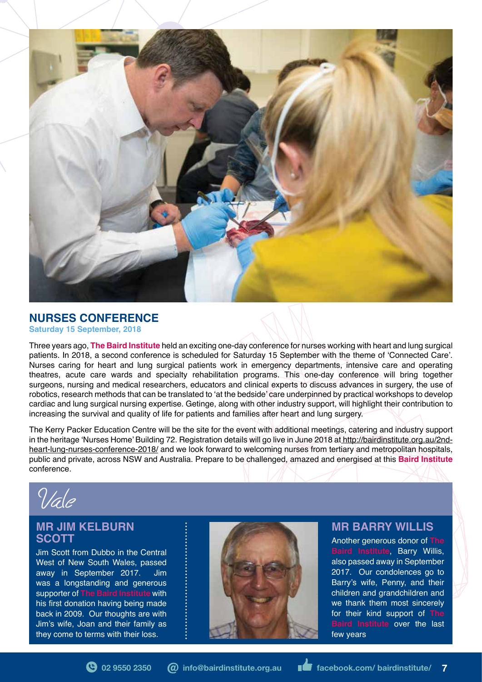

# **NURSES CONFERENCE**

**Saturday 15 September, 2018**

Three years ago, **The Baird Institute** held an exciting one-day conference for nurses working with heart and lung surgical patients. In 2018, a second conference is scheduled for Saturday 15 September with the theme of 'Connected Care'. Nurses caring for heart and lung surgical patients work in emergency departments, intensive care and operating theatres, acute care wards and specialty rehabilitation programs. This one-day conference will bring together surgeons, nursing and medical researchers, educators and clinical experts to discuss advances in surgery, the use of robotics, research methods that can be translated to 'at the bedside' care underpinned by practical workshops to develop cardiac and lung surgical nursing expertise. Getinge, along with other industry support, will highlight their contribution to increasing the survival and quality of life for patients and families after heart and lung surgery.

The Kerry Packer Education Centre will be the site for the event with additional meetings, catering and industry support in the heritage 'Nurses Home' Building 72. Registration details will go live in June 2018 at http://bairdinstitute.org.au/2ndheart-lung-nurses-conference-2018/ and we look forward to welcoming nurses from tertiary and metropolitan hospitals, public and private, across NSW and Australia. Prepare to be challenged, amazed and energised at this **Baird Institute**  conference.

Vale

### **MR JIM KELBURN SCOTT**

Jim Scott from Dubbo in the Central West of New South Wales, passed away in September 2017. Jim was a longstanding and generous supporter of **The Baird Institute** with his first donation having being made back in 2009. Our thoughts are with Jim's wife, Joan and their family as they come to terms with their loss.



### **MR BARRY WILLIS**

Another generous donor of **The Baird Institute**, Barry Willis, also passed away in September 2017. Our condolences go to Barry's wife, Penny, and their children and grandchildren and we thank them most sincerely for their kind support of **The Baird Institute** over the last few years